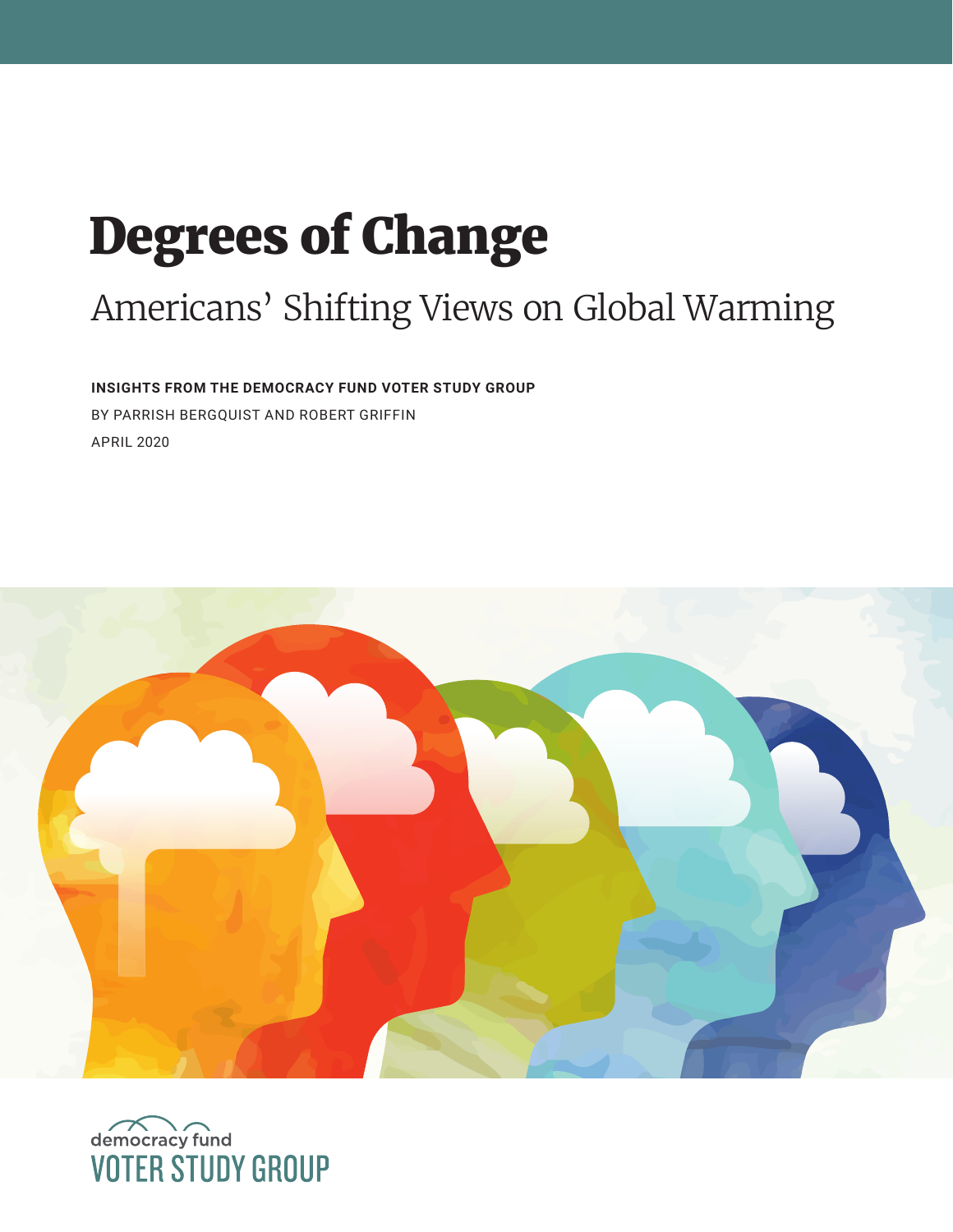# Degrees of Change

# Americans' Shifting Views on Global Warming

**INSIGHTS FROM THE DEMOCRACY FUND VOTER STUDY GROUP**  BY PARRISH BERGQUIST AND ROBERT GRIFFIN APRIL 2020



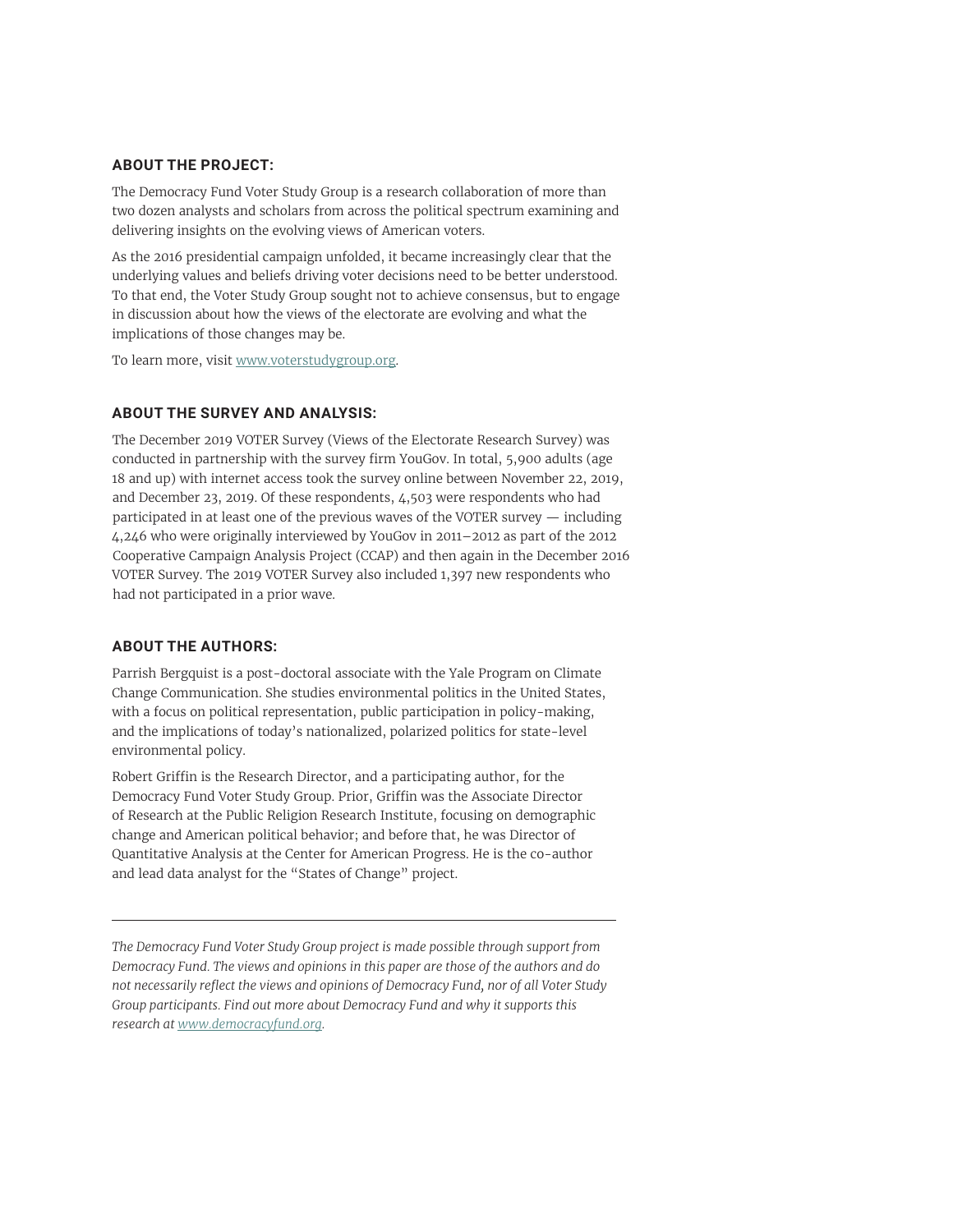#### **ABOUT THE PROJECT:**

The Democracy Fund Voter Study Group is a research collaboration of more than two dozen analysts and scholars from across the political spectrum examining and delivering insights on the evolving views of American voters.

As the 2016 presidential campaign unfolded, it became increasingly clear that the underlying values and beliefs driving voter decisions need to be better understood. To that end, the Voter Study Group sought not to achieve consensus, but to engage in discussion about how the views of the electorate are evolving and what the implications of those changes may be.

To learn more, visit [www.voterstudygroup.org](http://www.voterstudygroup.org).

#### **ABOUT THE SURVEY AND ANALYSIS:**

The December 2019 VOTER Survey (Views of the Electorate Research Survey) was conducted in partnership with the survey firm YouGov. In total, 5,900 adults (age 18 and up) with internet access took the survey online between November 22, 2019, and December 23, 2019. Of these respondents, 4,503 were respondents who had participated in at least one of the previous waves of the VOTER survey — including 4,246 who were originally interviewed by YouGov in 2011–2012 as part of the 2012 Cooperative Campaign Analysis Project (CCAP) and then again in the December 2016 VOTER Survey. The 2019 VOTER Survey also included 1,397 new respondents who had not participated in a prior wave.

#### **ABOUT THE AUTHORS:**

Parrish Bergquist is a post-doctoral associate with the Yale Program on Climate Change Communication. She studies environmental politics in the United States, with a focus on political representation, public participation in policy-making, and the implications of today's nationalized, polarized politics for state-level environmental policy.

Robert Griffin is the Research Director, and a participating author, for the Democracy Fund Voter Study Group. Prior, Griffin was the Associate Director of Research at the Public Religion Research Institute, focusing on demographic change and American political behavior; and before that, he was Director of Quantitative Analysis at the Center for American Progress. He is the co-author and lead data analyst for the "States of Change" project.

*The Democracy Fund Voter Study Group project is made possible through support from Democracy Fund. The views and opinions in this paper are those of the authors and do not necessarily reflect the views and opinions of Democracy Fund, nor of all Voter Study Group participants. Find out more about Democracy Fund and why it supports this research at www.democracyfund.org.*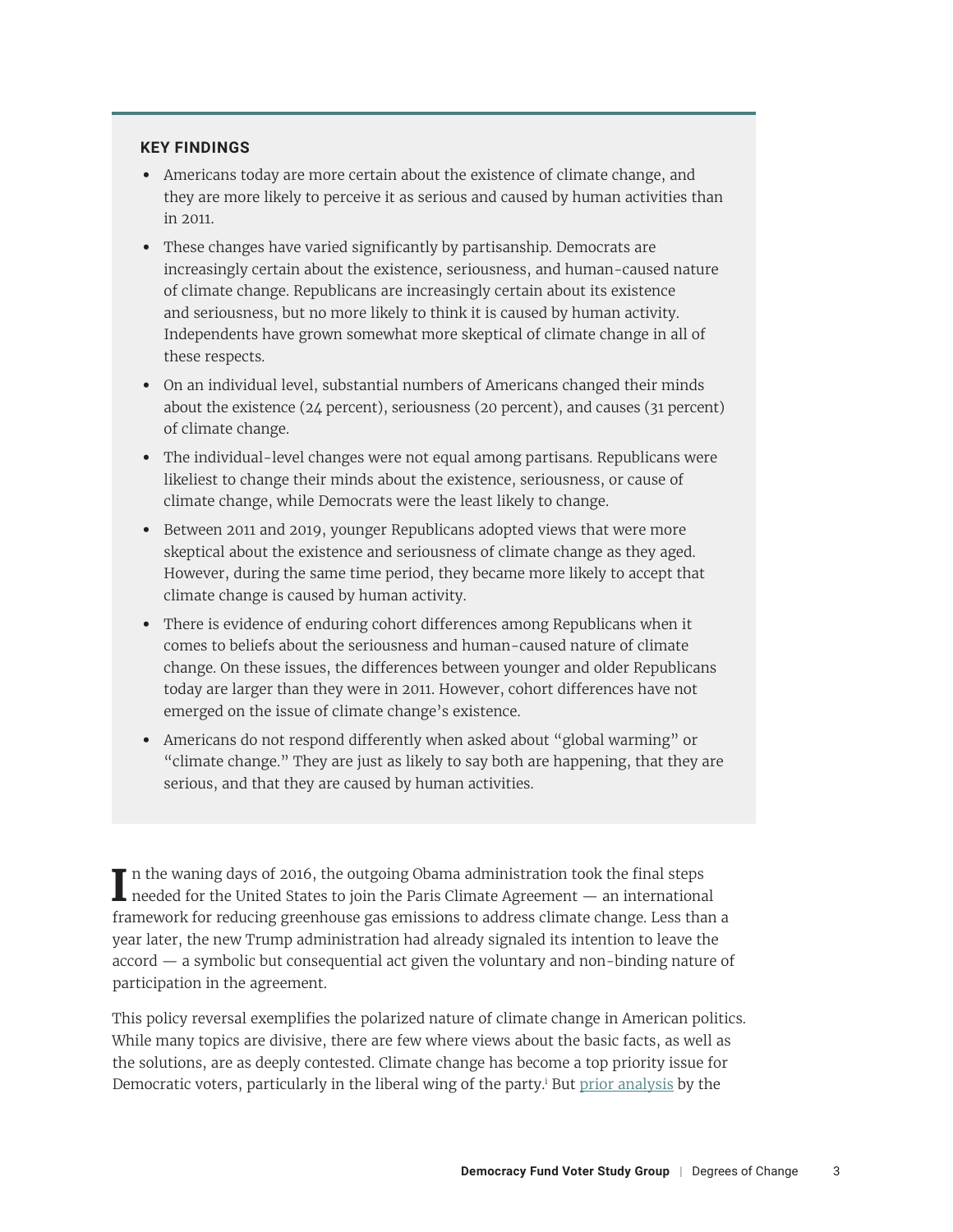#### <span id="page-2-0"></span>**KEY FINDINGS**

- **•** Americans today are more certain about the existence of climate change, and they are more likely to perceive it as serious and caused by human activities than in 2011.
- **•** These changes have varied significantly by partisanship. Democrats are increasingly certain about the existence, seriousness, and human-caused nature of climate change. Republicans are increasingly certain about its existence and seriousness, but no more likely to think it is caused by human activity. Independents have grown somewhat more skeptical of climate change in all of these respects.
- **•** On an individual level, substantial numbers of Americans changed their minds about the existence (24 percent), seriousness (20 percent), and causes (31 percent) of climate change.
- **•** The individual-level changes were not equal among partisans. Republicans were likeliest to change their minds about the existence, seriousness, or cause of climate change, while Democrats were the least likely to change.
- **•** Between 2011 and 2019, younger Republicans adopted views that were more skeptical about the existence and seriousness of climate change as they aged. However, during the same time period, they became more likely to accept that climate change is caused by human activity.
- **•** There is evidence of enduring cohort differences among Republicans when it comes to beliefs about the seriousness and human-caused nature of climate change. On these issues, the differences between younger and older Republicans today are larger than they were in 2011. However, cohort differences have not emerged on the issue of climate change's existence.
- **•** Americans do not respond differently when asked about "global warming" or "climate change." They are just as likely to say both are happening, that they are serious, and that they are caused by human activities.

**I** n the waning days of 2016, the outgoing Obama administration took the final steps needed for the United States to join the Paris Climate Agreement — an international framework for reducing greenhouse gas emissions to address climate change. Less than a year later, the new Trump administration had already signaled its intention to leave the accord — a symbolic but consequential act given the voluntary and non-binding nature of participation in the agreement.

This policy reversal exemplifies the polarized nature of climate change in American politics. While many topics are divisive, there are few where views about the basic facts, as well as the solutions, are as deeply contested. Climate change has become a top priority issue for Democratic voters, particularly in the liberal wing of the party.<sup>i</sup> But <u>prior analysis</u> by the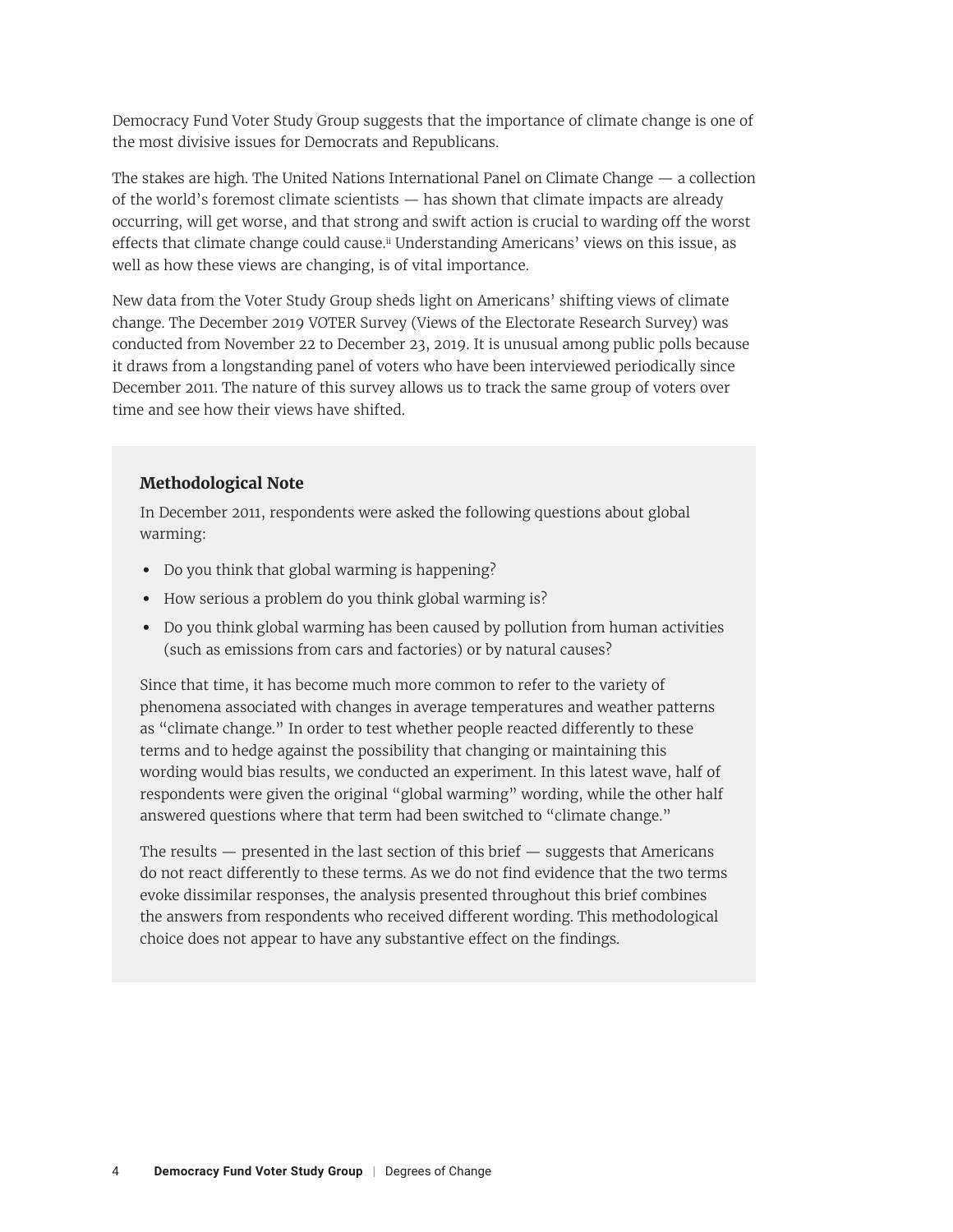<span id="page-3-0"></span>Democracy Fund Voter Study Group suggests that the importance of climate change is one of the most divisive issues for Democrats and Republicans.

The stakes are high. The United Nations International Panel on Climate Change — a collection of the world's foremost climate scientists — has shown that climate impacts are already occurring, will get worse, and that strong and swift action is crucial to warding off the worst effects that climate change could cause.<sup>[ii](#page-17-0)</sup> Understanding Americans' views on this issue, as well as how these views are changing, is of vital importance.

New data from the Voter Study Group sheds light on Americans' shifting views of climate change. The December 2019 VOTER Survey (Views of the Electorate Research Survey) was conducted from November 22 to December 23, 2019. It is unusual among public polls because it draws from a longstanding panel of voters who have been interviewed periodically since December 2011. The nature of this survey allows us to track the same group of voters over time and see how their views have shifted.

#### **Methodological Note**

In December 2011, respondents were asked the following questions about global warming:

- **•** Do you think that global warming is happening?
- **•** How serious a problem do you think global warming is?
- **•** Do you think global warming has been caused by pollution from human activities (such as emissions from cars and factories) or by natural causes?

Since that time, it has become much more common to refer to the variety of phenomena associated with changes in average temperatures and weather patterns as "climate change." In order to test whether people reacted differently to these terms and to hedge against the possibility that changing or maintaining this wording would bias results, we conducted an experiment. In this latest wave, half of respondents were given the original "global warming" wording, while the other half answered questions where that term had been switched to "climate change."

The results  $-$  presented in the last section of this brief  $-$  suggests that Americans do not react differently to these terms. As we do not find evidence that the two terms evoke dissimilar responses, the analysis presented throughout this brief combines the answers from respondents who received different wording. This methodological choice does not appear to have any substantive effect on the findings.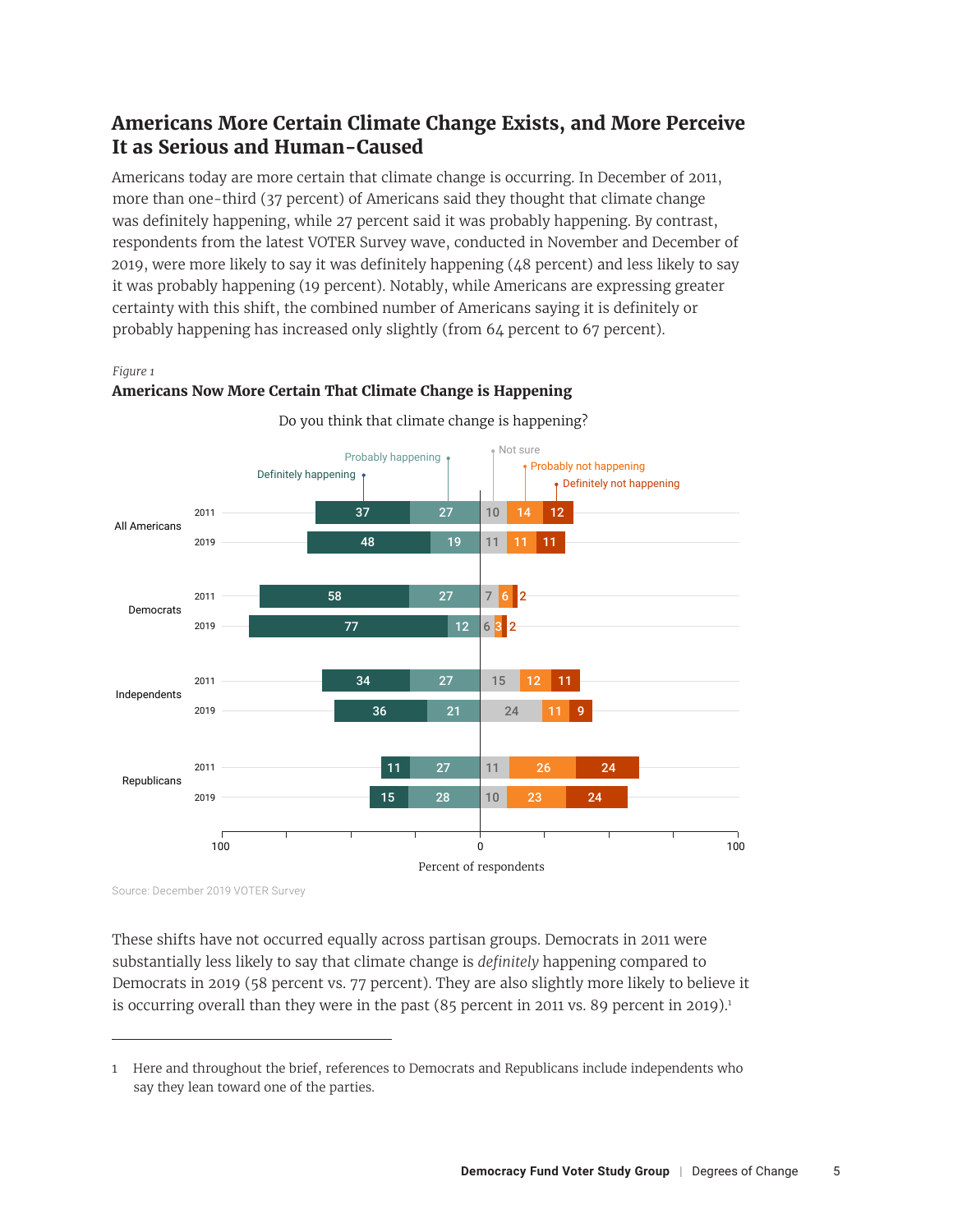# **Americans More Certain Climate Change Exists, and More Perceive It as Serious and Human-Caused**

Americans today are more certain that climate change is occurring. In December of 2011, more than one-third (37 percent) of Americans said they thought that climate change was definitely happening, while 27 percent said it was probably happening. By contrast, respondents from the latest VOTER Survey wave, conducted in November and December of 2019, were more likely to say it was definitely happening (48 percent) and less likely to say it was probably happening (19 percent). Notably, while Americans are expressing greater certainty with this shift, the combined number of Americans saying it is definitely or probably happening has increased only slightly (from 64 percent to 67 percent).

#### *Figure 1 Figure 1*



**Americans Now More Certain That Climate Change is Happening Americans Now More Certain That Climate Change is Happening**

Do you think that climate change is happening?

Source: December 2019 VOTER Survey

These shifts have not occurred equally across partisan groups. Democrats in 2011 were substantially less likely to say that climate change is *definitely* happening compared to Democrats in 2019 (58 percent vs. 77 percent). They are also slightly more likely to believe it is occurring overall than they were in the past  $(85$  percent in 2011 vs. 89 percent in 2019).<sup>1</sup>

<sup>1</sup> Here and throughout the brief, references to Democrats and Republicans include independents who say they lean toward one of the parties.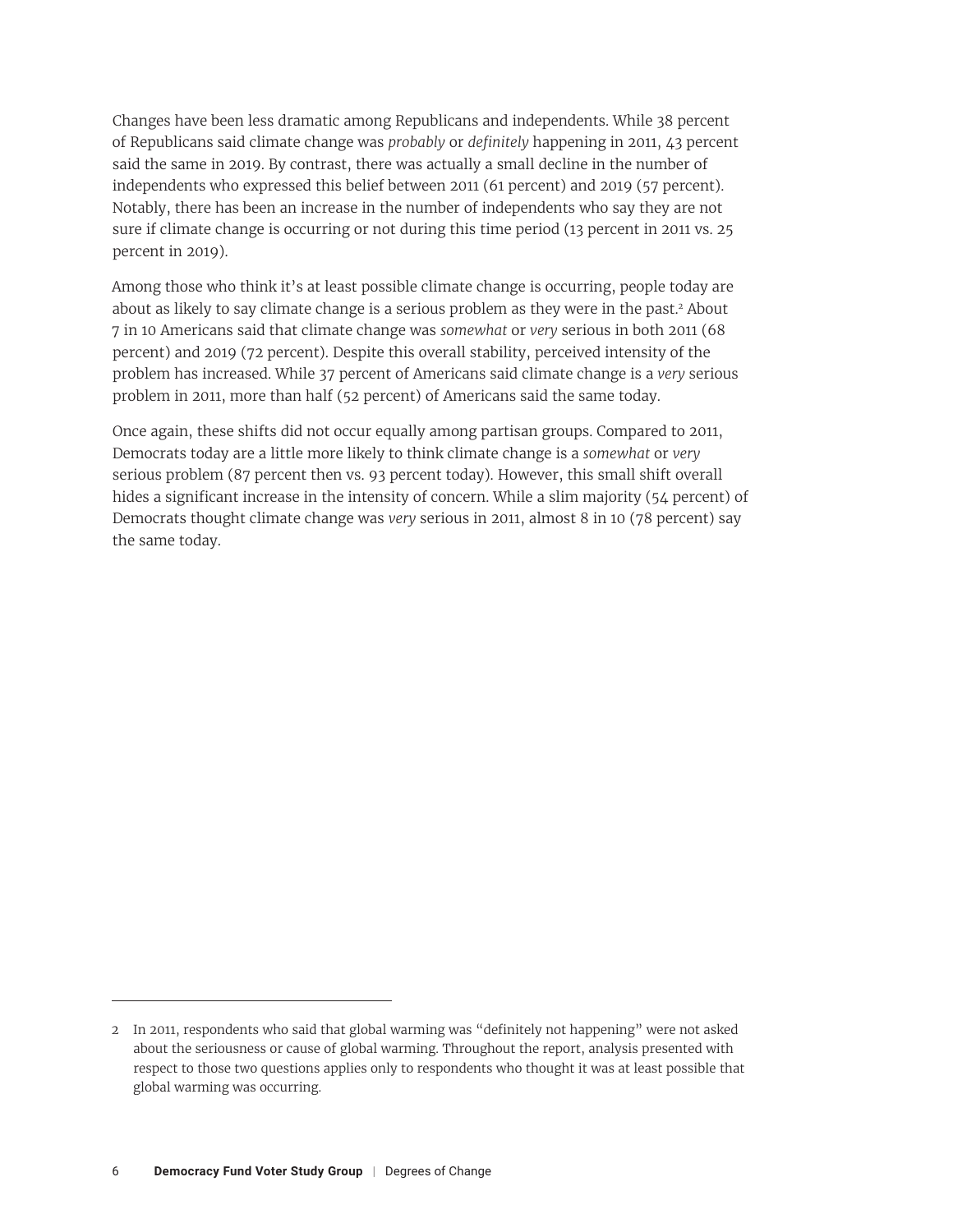Changes have been less dramatic among Republicans and independents. While 38 percent of Republicans said climate change was *probably* or *definitely* happening in 2011, 43 percent said the same in 2019. By contrast, there was actually a small decline in the number of independents who expressed this belief between 2011 (61 percent) and 2019 (57 percent). Notably, there has been an increase in the number of independents who say they are not sure if climate change is occurring or not during this time period (13 percent in 2011 vs. 25 percent in 2019).

Among those who think it's at least possible climate change is occurring, people today are about as likely to say climate change is a serious problem as they were in the past.<sup>2</sup> About 7 in 10 Americans said that climate change was *somewhat* or *very* serious in both 2011 (68 percent) and 2019 (72 percent). Despite this overall stability, perceived intensity of the problem has increased. While 37 percent of Americans said climate change is a *very* serious problem in 2011, more than half (52 percent) of Americans said the same today.

Once again, these shifts did not occur equally among partisan groups. Compared to 2011, Democrats today are a little more likely to think climate change is a *somewhat* or *very* serious problem (87 percent then vs. 93 percent today). However, this small shift overall hides a significant increase in the intensity of concern. While a slim majority (54 percent) of Democrats thought climate change was *very* serious in 2011, almost 8 in 10 (78 percent) say the same today.

<sup>2</sup> In 2011, respondents who said that global warming was "definitely not happening" were not asked about the seriousness or cause of global warming. Throughout the report, analysis presented with respect to those two questions applies only to respondents who thought it was at least possible that global warming was occurring.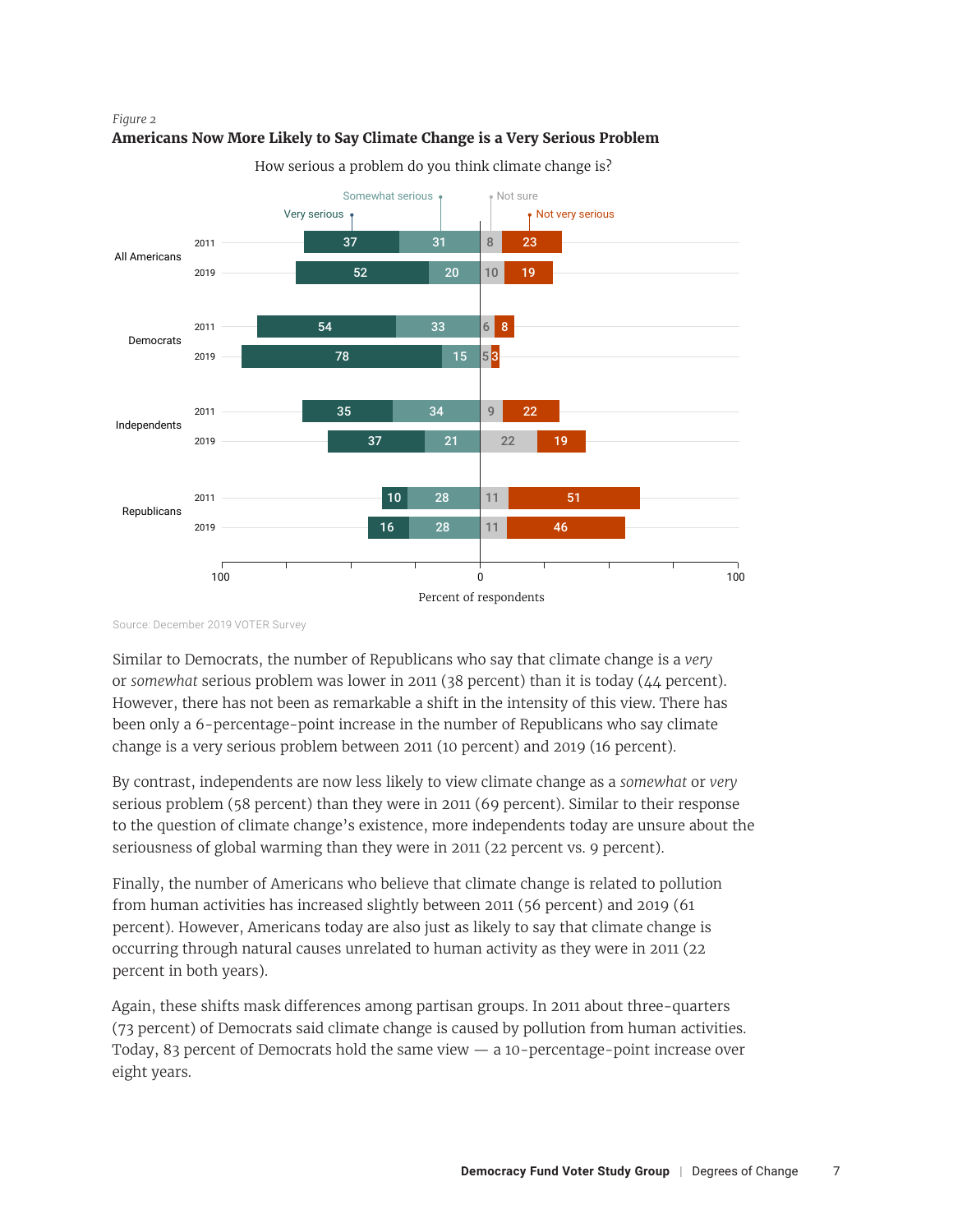



How serious a problem do you think climate change is?

Source: December 2019 VOTER Survey

Similar to Democrats, the number of Republicans who say that climate change is a *very* or *somewhat* serious problem was lower in 2011 (38 percent) than it is today (44 percent). However, there has not been as remarkable a shift in the intensity of this view. There has been only a 6-percentage-point increase in the number of Republicans who say climate change is a very serious problem between 2011 (10 percent) and 2019 (16 percent).

By contrast, independents are now less likely to view climate change as a *somewhat* or *very* serious problem (58 percent) than they were in 2011 (69 percent). Similar to their response to the question of climate change's existence, more independents today are unsure about the seriousness of global warming than they were in 2011 (22 percent vs. 9 percent).

Finally, the number of Americans who believe that climate change is related to pollution from human activities has increased slightly between 2011 (56 percent) and 2019 (61 percent). However, Americans today are also just as likely to say that climate change is occurring through natural causes unrelated to human activity as they were in 2011 (22 percent in both years).

Again, these shifts mask differences among partisan groups. In 2011 about three-quarters (73 percent) of Democrats said climate change is caused by pollution from human activities. Today, 83 percent of Democrats hold the same view — a 10-percentage-point increase over eight years.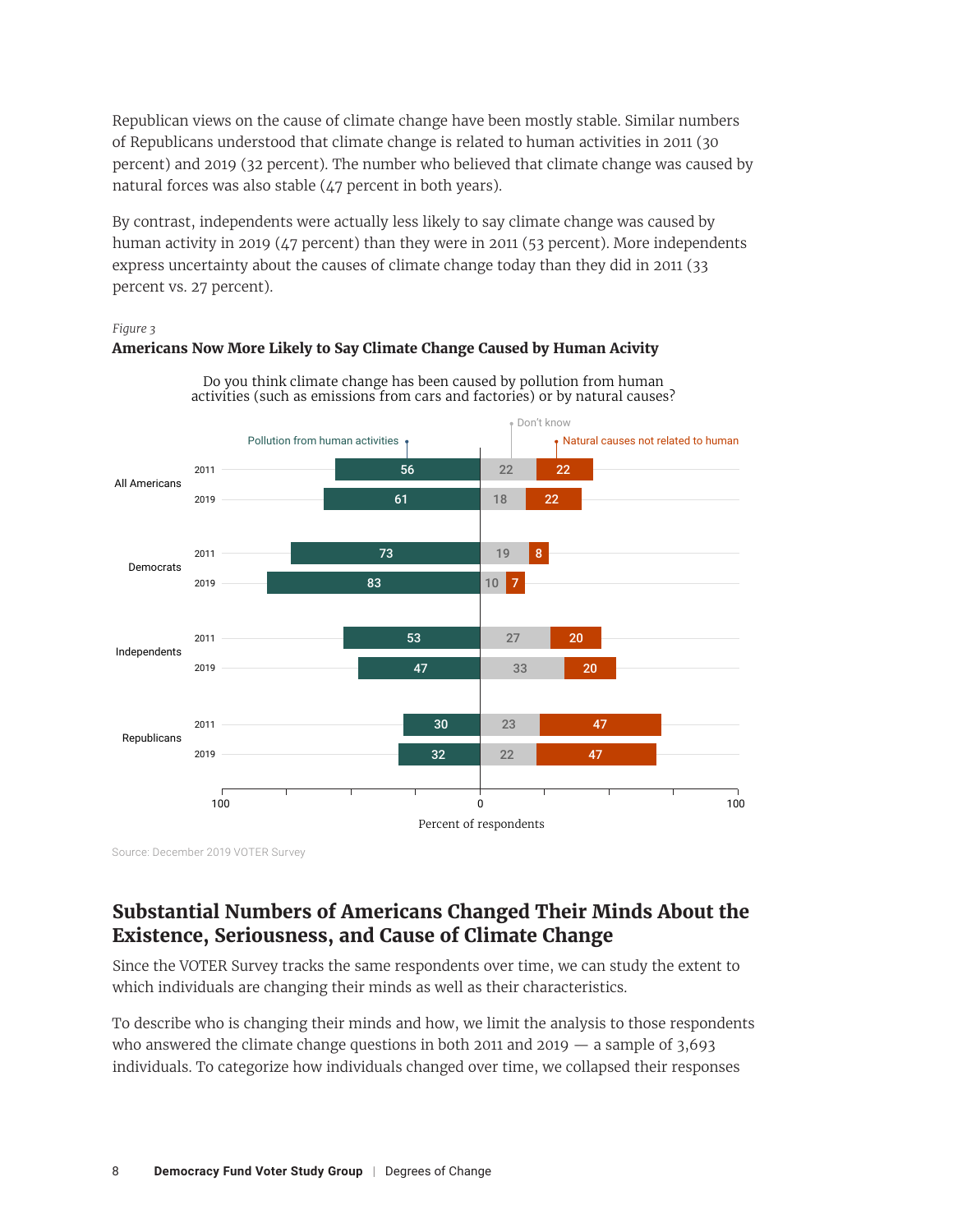Republican views on the cause of climate change have been mostly stable. Similar numbers of Republicans understood that climate change is related to human activities in 2011 (30 percent) and 2019 (32 percent). The number who believed that climate change was caused by natural forces was also stable (47 percent in both years).

By contrast, independents were actually less likely to say climate change was caused by human activity in 2019 (47 percent) than they were in 2011 (53 percent). More independents express uncertainty about the causes of climate change today than they did in 2011 (33 percent vs. 27 percent).

#### *Figure 3 Figure 3*

## **Americans Now More Likely to Say Climate Change Caused by Human Acivity Americans Now More Likely to Say Climate Change Caused by Human Activity**



Do you think climate change has been caused by pollution from human activities (such as emissions from cars and factories) or by natural causes?

Source: December 2019 VOTER Survey

# **Substantial Numbers of Americans Changed Their Minds About the Existence, Seriousness, and Cause of Climate Change**

Since the VOTER Survey tracks the same respondents over time, we can study the extent to which individuals are changing their minds as well as their characteristics.

To describe who is changing their minds and how, we limit the analysis to those respondents who answered the climate change questions in both 2011 and 2019  $-$  a sample of 3,693 individuals. To categorize how individuals changed over time, we collapsed their responses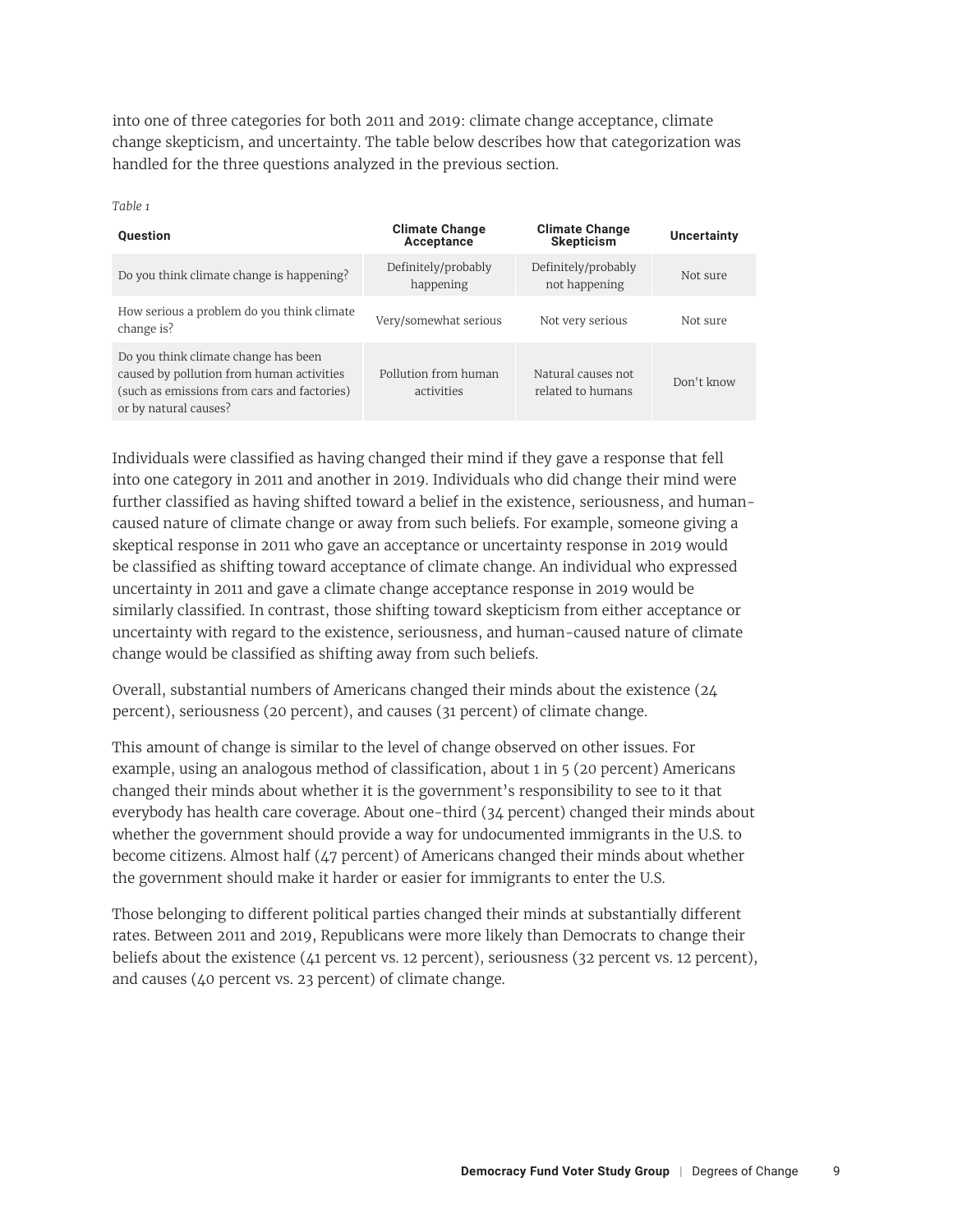into one of three categories for both 2011 and 2019: climate change acceptance, climate change skepticism, and uncertainty. The table below describes how that categorization was handled for the three questions analyzed in the previous section.

*Table 1*

| <b>Question</b>                                                                                                                                           | <b>Climate Change</b><br>Acceptance | <b>Climate Change</b><br>Skepticism     | Uncertainty |
|-----------------------------------------------------------------------------------------------------------------------------------------------------------|-------------------------------------|-----------------------------------------|-------------|
| Do you think climate change is happening?                                                                                                                 | Definitely/probably<br>happening    | Definitely/probably<br>not happening    | Not sure    |
| How serious a problem do you think climate<br>change is?                                                                                                  | Very/somewhat serious               | Not very serious                        | Not sure    |
| Do you think climate change has been<br>caused by pollution from human activities<br>(such as emissions from cars and factories)<br>or by natural causes? | Pollution from human<br>activities  | Natural causes not<br>related to humans | Don't know  |

Individuals were classified as having changed their mind if they gave a response that fell into one category in 2011 and another in 2019. Individuals who did change their mind were further classified as having shifted toward a belief in the existence, seriousness, and humancaused nature of climate change or away from such beliefs. For example, someone giving a skeptical response in 2011 who gave an acceptance or uncertainty response in 2019 would be classified as shifting toward acceptance of climate change. An individual who expressed uncertainty in 2011 and gave a climate change acceptance response in 2019 would be similarly classified. In contrast, those shifting toward skepticism from either acceptance or uncertainty with regard to the existence, seriousness, and human-caused nature of climate change would be classified as shifting away from such beliefs.

Overall, substantial numbers of Americans changed their minds about the existence (24 percent), seriousness (20 percent), and causes (31 percent) of climate change.

This amount of change is similar to the level of change observed on other issues. For example, using an analogous method of classification, about 1 in 5 (20 percent) Americans changed their minds about whether it is the government's responsibility to see to it that everybody has health care coverage. About one-third (34 percent) changed their minds about whether the government should provide a way for undocumented immigrants in the U.S. to become citizens. Almost half (47 percent) of Americans changed their minds about whether the government should make it harder or easier for immigrants to enter the U.S.

Those belonging to different political parties changed their minds at substantially different rates. Between 2011 and 2019, Republicans were more likely than Democrats to change their beliefs about the existence (41 percent vs. 12 percent), seriousness (32 percent vs. 12 percent), and causes (40 percent vs. 23 percent) of climate change.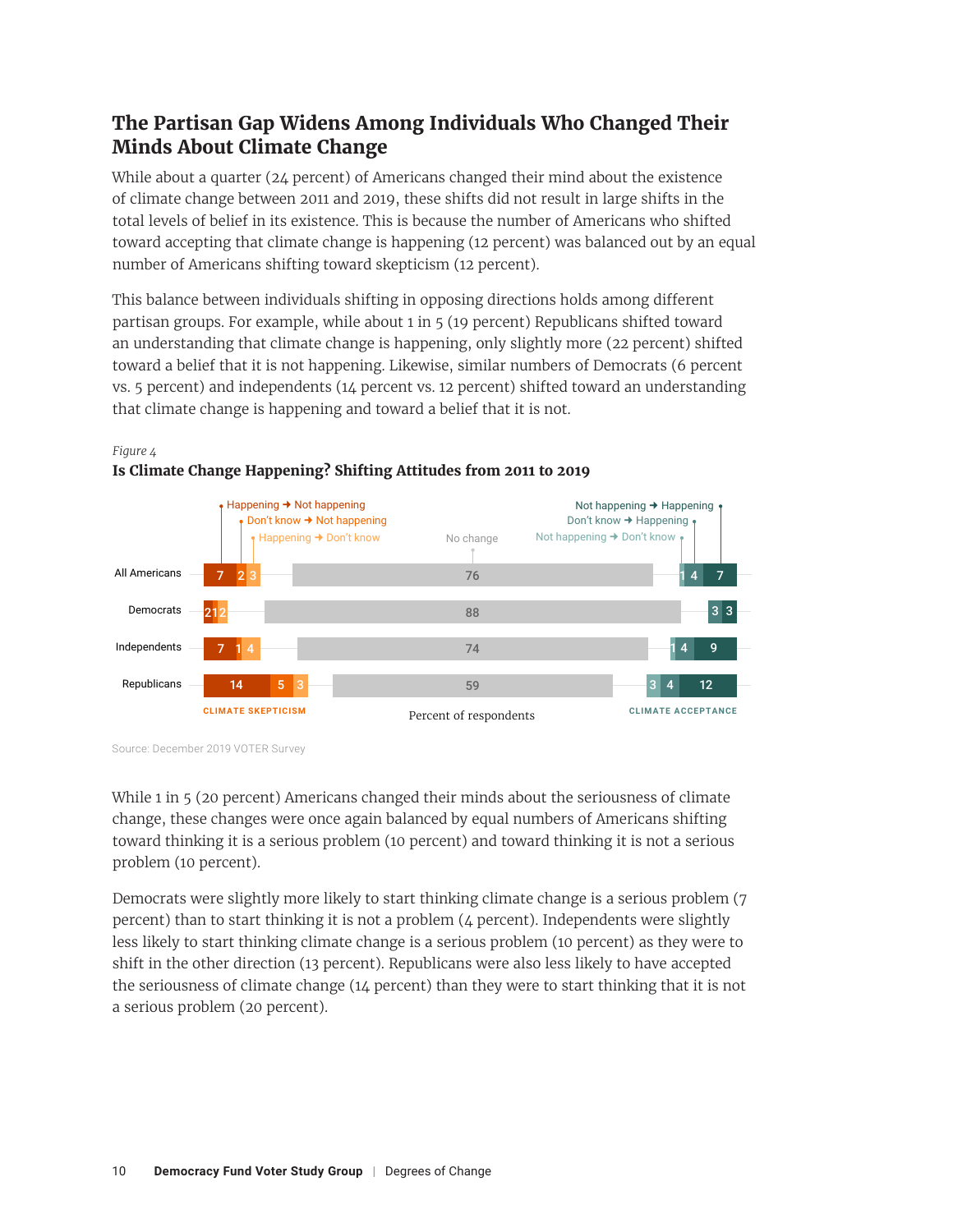# **The Partisan Gap Widens Among Individuals Who Changed Their Minds About Climate Change**

While about a quarter (24 percent) of Americans changed their mind about the existence of climate change between 2011 and 2019, these shifts did not result in large shifts in the total levels of belief in its existence. This is because the number of Americans who shifted toward accepting that climate change is happening (12 percent) was balanced out by an equal number of Americans shifting toward skepticism (12 percent).

This balance between individuals shifting in opposing directions holds among different partisan groups. For example, while about 1 in 5 (19 percent) Republicans shifted toward an understanding that climate change is happening, only slightly more (22 percent) shifted toward a belief that it is not happening. Likewise, similar numbers of Democrats (6 percent vs. 5 percent) and independents (14 percent vs. 12 percent) shifted toward an understanding that climate change is happening and toward a belief that it is not.



### *Figure 4 Figure 4*

Source: December 2019 VOTER Survey

While 1 in 5 (20 percent) Americans changed their minds about the seriousness of climate change, these changes were once again balanced by equal numbers of Americans shifting toward thinking it is a serious problem (10 percent) and toward thinking it is not a serious problem (10 percent).

Democrats were slightly more likely to start thinking climate change is a serious problem (7 percent) than to start thinking it is not a problem (4 percent). Independents were slightly less likely to start thinking climate change is a serious problem (10 percent) as they were to shift in the other direction (13 percent). Republicans were also less likely to have accepted the seriousness of climate change (14 percent) than they were to start thinking that it is not a serious problem (20 percent).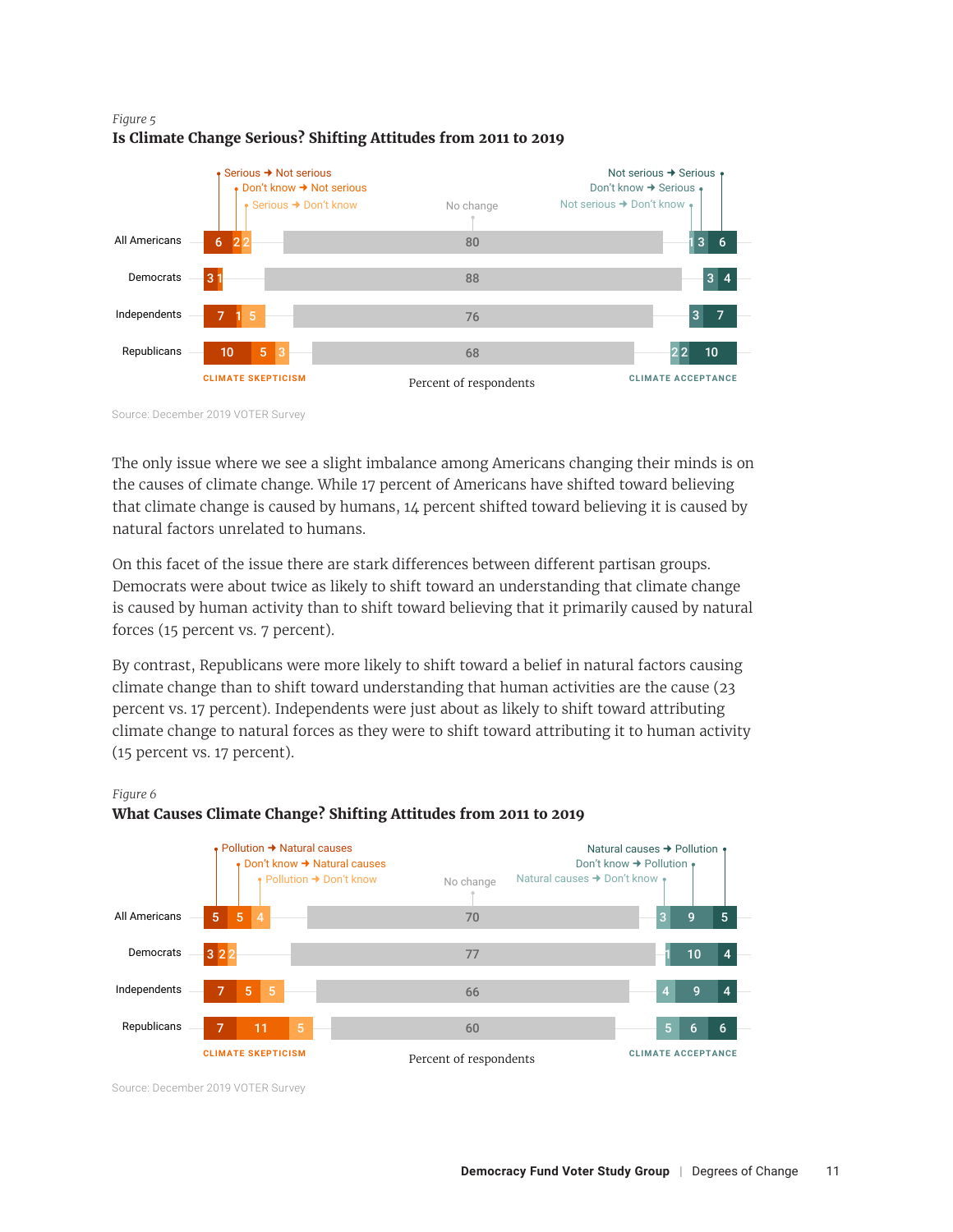#### *Figure 5 Figure 5* **Is Climate Change Serious? Shifting Attitudes from 2011 to 2019 Is Climate Change Serious? Shifting Attitudes from 2011 to 2019**



Source: December 2019 VOTER Survey

The only issue where we see a slight imbalance among Americans changing their minds is on the causes of climate change. While 17 percent of Americans have shifted toward believing that climate change is caused by humans, 14 percent shifted toward believing it is caused by natural factors unrelated to humans.

On this facet of the issue there are stark differences between different partisan groups. Democrats were about twice as likely to shift toward an understanding that climate change is caused by human activity than to shift toward believing that it primarily caused by natural forces (15 percent vs. 7 percent).

By contrast, Republicans were more likely to shift toward a belief in natural factors causing climate change than to shift toward understanding that human activities are the cause (23 percent vs. 17 percent). Independents were just about as likely to shift toward attributing climate change to natural forces as they were to shift toward attributing it to human activity (15 percent vs. 17 percent).



#### *Figure 6 Figure 6* **What Causes Climate Change? Shifting Attitudes from 2011 to 2019 What Causes Climate Change? Shifting Attitudes from 2011 to 2019**

Source: December 2019 VOTER Survey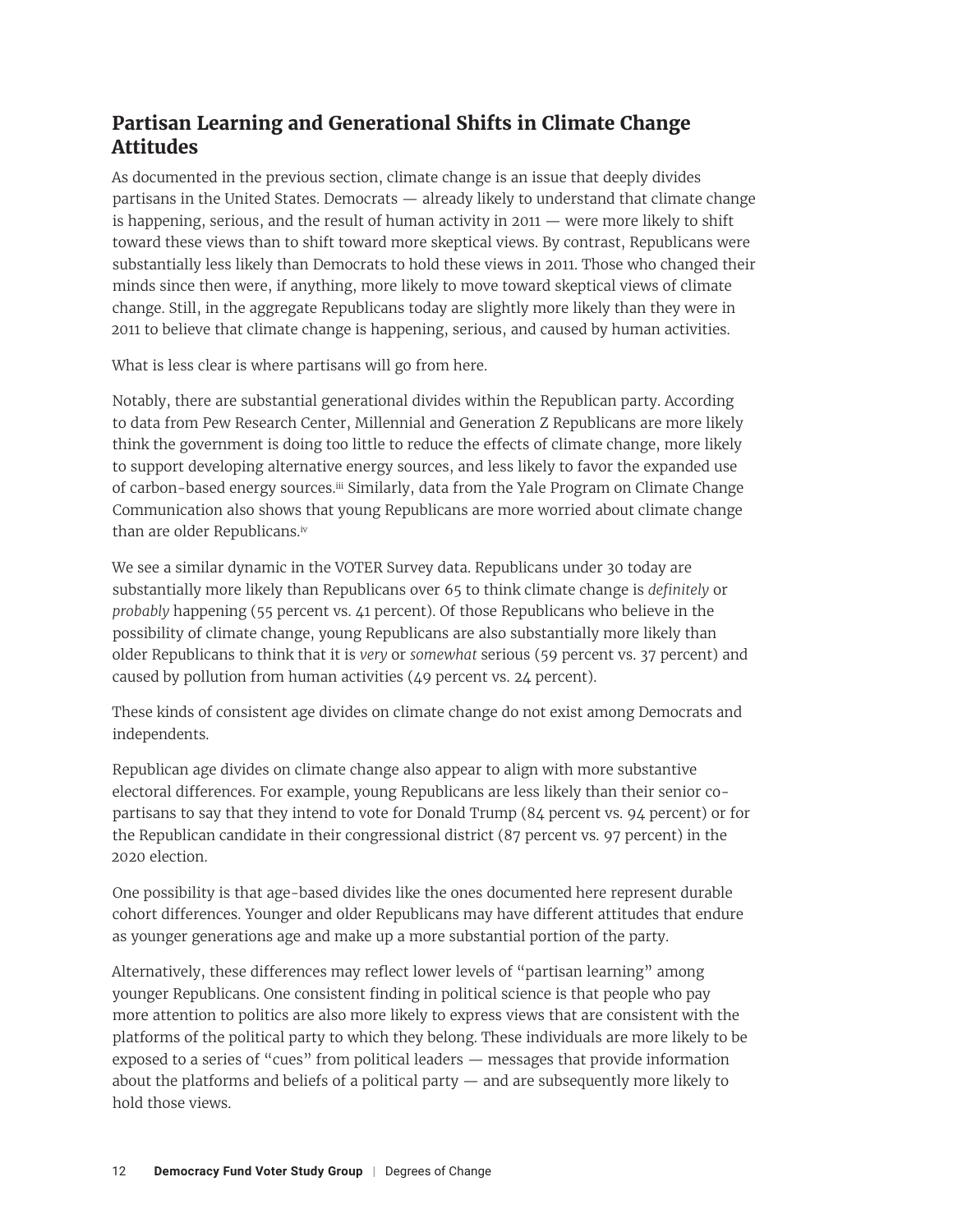# <span id="page-11-0"></span>**Partisan Learning and Generational Shifts in Climate Change Attitudes**

As documented in the previous section, climate change is an issue that deeply divides partisans in the United States. Democrats — already likely to understand that climate change is happening, serious, and the result of human activity in 2011 — were more likely to shift toward these views than to shift toward more skeptical views. By contrast, Republicans were substantially less likely than Democrats to hold these views in 2011. Those who changed their minds since then were, if anything, more likely to move toward skeptical views of climate change. Still, in the aggregate Republicans today are slightly more likely than they were in 2011 to believe that climate change is happening, serious, and caused by human activities.

What is less clear is where partisans will go from here.

Notably, there are substantial generational divides within the Republican party. According to data from Pew Research Center, Millennial and Generation Z Republicans are more likely think the government is doing too little to reduce the effects of climate change, more likely to support developing alternative energy sources, and less likely to favor the expanded use of carbon-based energy sources.[iii](#page-17-0) Similarly, data from the Yale Program on Climate Change Communication also shows that young Republicans are more worried about climate change than are older Republicans[.iv](#page-17-0)

We see a similar dynamic in the VOTER Survey data. Republicans under 30 today are substantially more likely than Republicans over 65 to think climate change is *definitely* or *probably* happening (55 percent vs. 41 percent). Of those Republicans who believe in the possibility of climate change, young Republicans are also substantially more likely than older Republicans to think that it is *very* or *somewhat* serious (59 percent vs. 37 percent) and caused by pollution from human activities (49 percent vs. 24 percent).

These kinds of consistent age divides on climate change do not exist among Democrats and independents.

Republican age divides on climate change also appear to align with more substantive electoral differences. For example, young Republicans are less likely than their senior copartisans to say that they intend to vote for Donald Trump (84 percent vs. 94 percent) or for the Republican candidate in their congressional district (87 percent vs. 97 percent) in the 2020 election.

One possibility is that age-based divides like the ones documented here represent durable cohort differences. Younger and older Republicans may have different attitudes that endure as younger generations age and make up a more substantial portion of the party.

Alternatively, these differences may reflect lower levels of "partisan learning" among younger Republicans. One consistent finding in political science is that people who pay more attention to politics are also more likely to express views that are consistent with the platforms of the political party to which they belong. These individuals are more likely to be exposed to a series of "cues" from political leaders — messages that provide information about the platforms and beliefs of a political party — and are subsequently more likely to hold those views.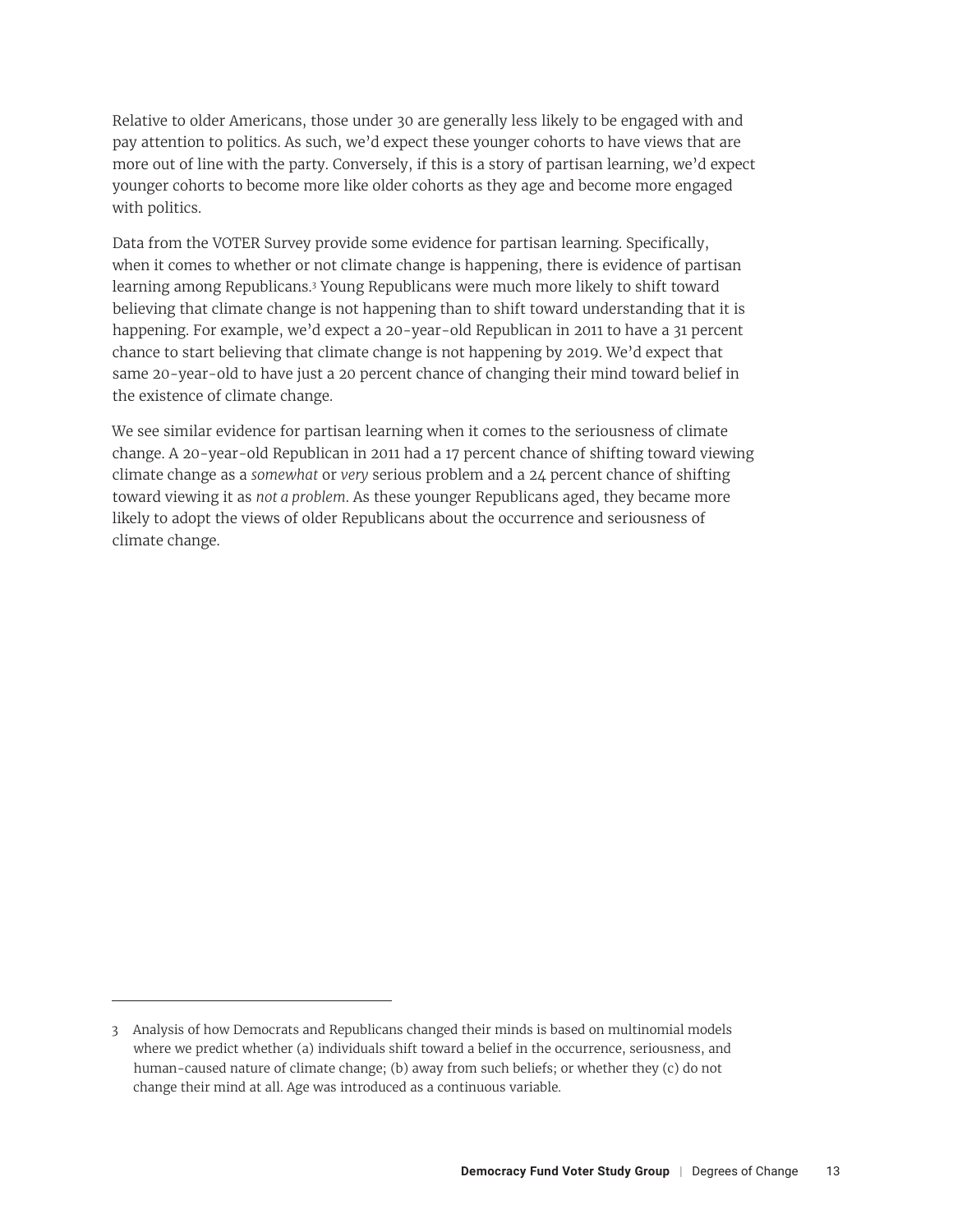Relative to older Americans, those under 30 are generally less likely to be engaged with and pay attention to politics. As such, we'd expect these younger cohorts to have views that are more out of line with the party. Conversely, if this is a story of partisan learning, we'd expect younger cohorts to become more like older cohorts as they age and become more engaged with politics.

Data from the VOTER Survey provide some evidence for partisan learning. Specifically, when it comes to whether or not climate change is happening, there is evidence of partisan learning among Republicans.<sup>3</sup> Young Republicans were much more likely to shift toward believing that climate change is not happening than to shift toward understanding that it is happening. For example, we'd expect a 20-year-old Republican in 2011 to have a 31 percent chance to start believing that climate change is not happening by 2019. We'd expect that same 20-year-old to have just a 20 percent chance of changing their mind toward belief in the existence of climate change.

We see similar evidence for partisan learning when it comes to the seriousness of climate change. A 20-year-old Republican in 2011 had a 17 percent chance of shifting toward viewing climate change as a *somewhat* or *very* serious problem and a 24 percent chance of shifting toward viewing it as *not a problem*. As these younger Republicans aged, they became more likely to adopt the views of older Republicans about the occurrence and seriousness of climate change.

<sup>3</sup> Analysis of how Democrats and Republicans changed their minds is based on multinomial models where we predict whether (a) individuals shift toward a belief in the occurrence, seriousness, and human-caused nature of climate change; (b) away from such beliefs; or whether they (c) do not change their mind at all. Age was introduced as a continuous variable.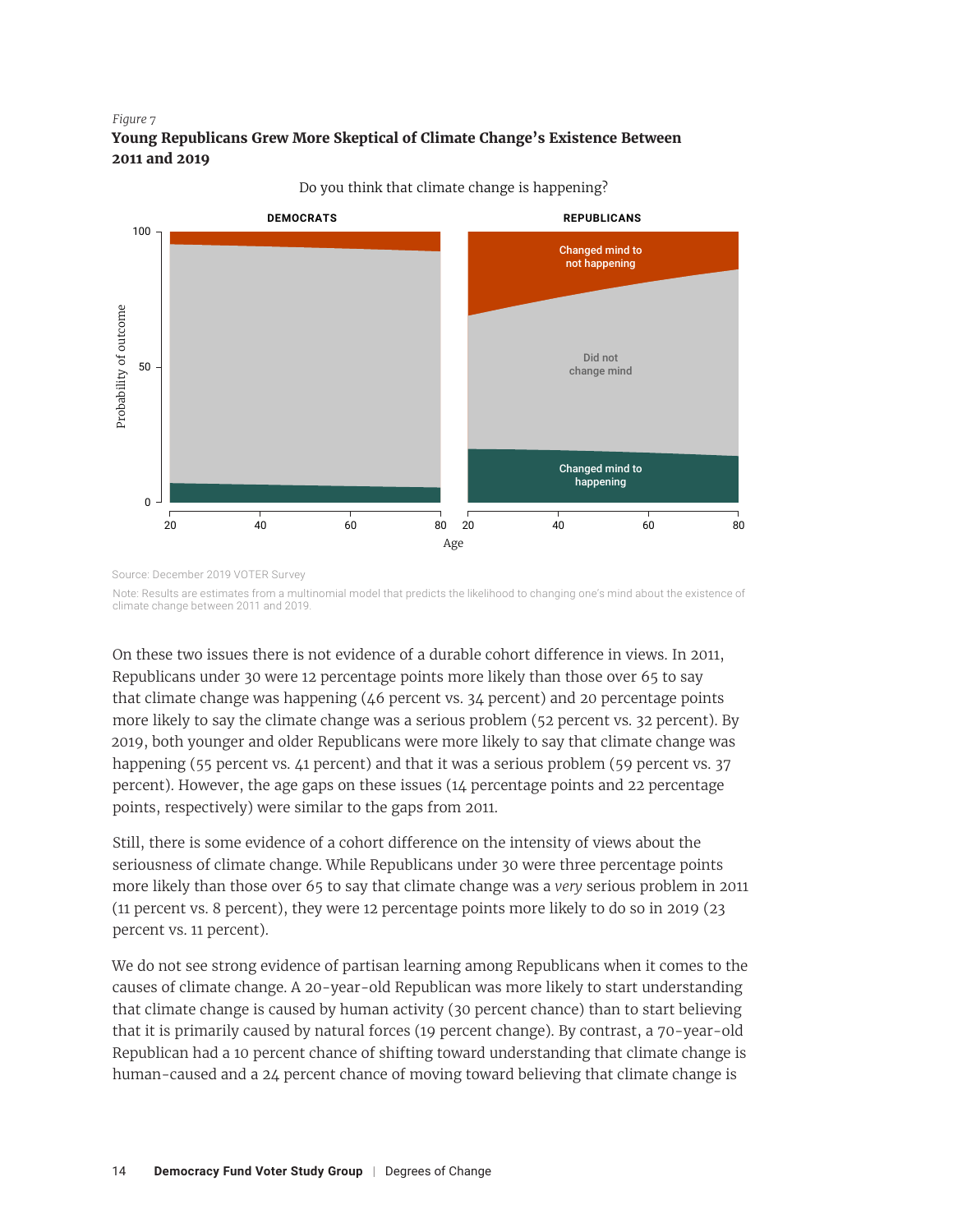#### *Figure 7 Figure 7* **Young Republicans Grew More Skeptical of Climate Change's Existence Between Young Republicans Grew More Skeptical of Climate Change's Existence 2011 and 2019 Between 2011 and 2019**



Do you think that climate change is happening?

Source: December 2019 VOTER Survey

Note: Results are estimates from a multinomial model that predicts the likelihood to changing one's mind about the existence of climate change between 2011 and 2019.

On these two issues there is not evidence of a durable cohort difference in views. In 2011, Republicans under 30 were 12 percentage points more likely than those over 65 to say that climate change was happening  $(46$  percent vs.  $34$  percent) and 20 percentage points more likely to say the climate change was a serious problem (52 percent vs. 32 percent). By 2019, both younger and older Republicans were more likely to say that climate change was happening (55 percent vs. 41 percent) and that it was a serious problem (59 percent vs. 37 percent). However, the age gaps on these issues (14 percentage points and 22 percentage points, respectively) were similar to the gaps from 2011.

Still, there is some evidence of a cohort difference on the intensity of views about the seriousness of climate change. While Republicans under 30 were three percentage points more likely than those over 65 to say that climate change was a *very* serious problem in 2011 (11 percent vs. 8 percent), they were 12 percentage points more likely to do so in 2019 (23 percent vs. 11 percent).

We do not see strong evidence of partisan learning among Republicans when it comes to the causes of climate change. A 20-year-old Republican was more likely to start understanding that climate change is caused by human activity (30 percent chance) than to start believing that it is primarily caused by natural forces (19 percent change). By contrast, a 70-year-old Republican had a 10 percent chance of shifting toward understanding that climate change is human-caused and a 24 percent chance of moving toward believing that climate change is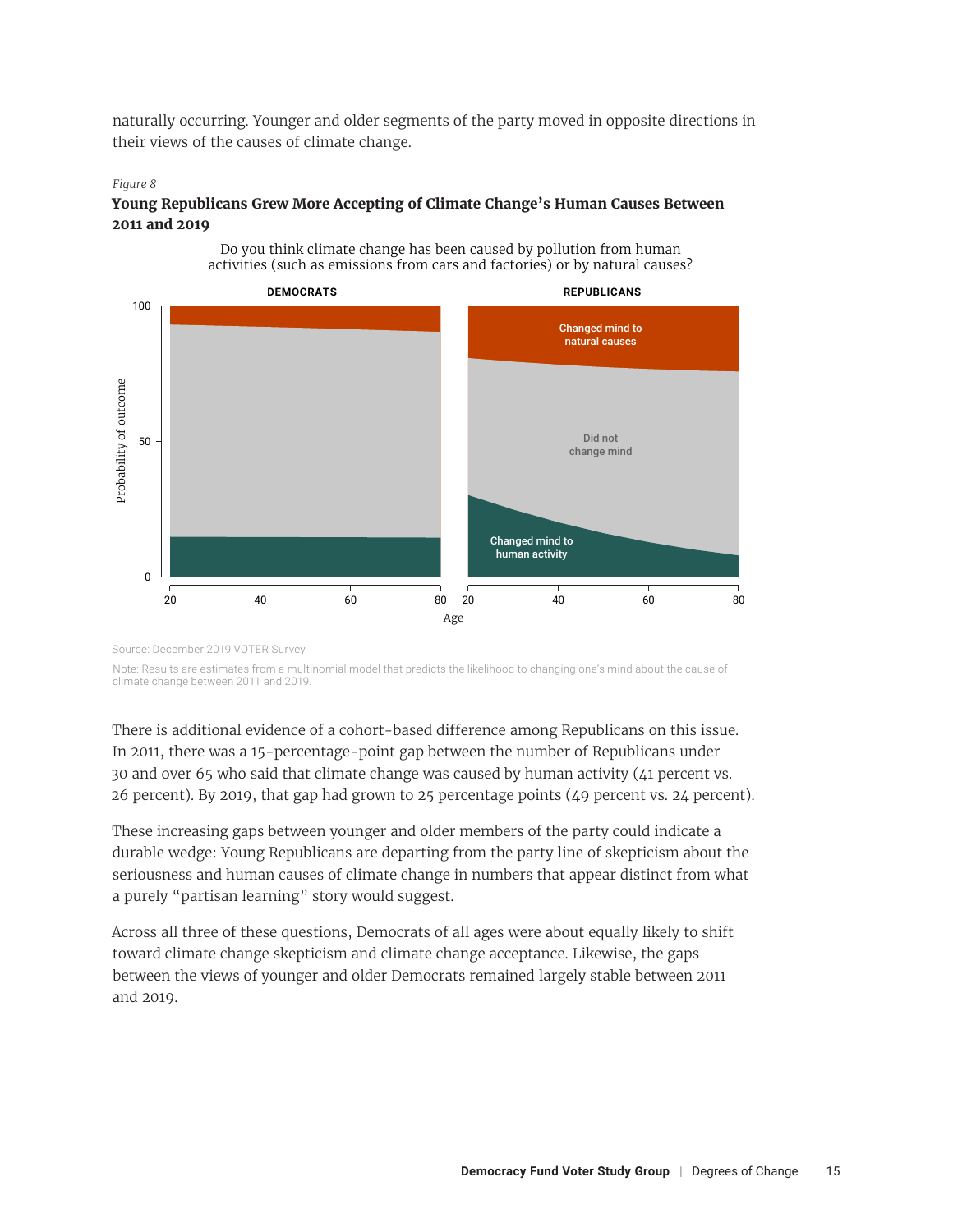naturally occurring. Younger and older segments of the party moved in opposite directions in their views of the causes of climate change.

#### *Figure 8 Figure 8*

#### **Young Republicans Grew More Accepting of Climate Change's Human Causes Between Young Republicans Grew More Accepting of Climate Change's Human Causes 2011 and 2019 Between 2011 and 2019**



Do you think climate change has been caused by pollution from human activities (such as emissions from cars and factories) or by natural causes?

Source: December 2019 VOTER Survey

Note: Results are estimates from a multinomial model that predicts the likelihood to changing one's mind about the cause of  $N_{\rm eff}$  multinomial model that predicts that predicts that predicts the cause of  $c$ climate change between 2011 and 2019.

There is additional evidence of a cohort-based difference among Republicans on this issue. In 2011, there was a 15-percentage-point gap between the number of Republicans under 30 and over 65 who said that climate change was caused by human activity (41 percent vs. 26 percent). By 2019, that gap had grown to 25 percentage points (49 percent vs. 24 percent).

These increasing gaps between younger and older members of the party could indicate a durable wedge: Young Republicans are departing from the party line of skepticism about the seriousness and human causes of climate change in numbers that appear distinct from what a purely "partisan learning" story would suggest.

Across all three of these questions, Democrats of all ages were about equally likely to shift toward climate change skepticism and climate change acceptance. Likewise, the gaps between the views of younger and older Democrats remained largely stable between 2011 and 2019.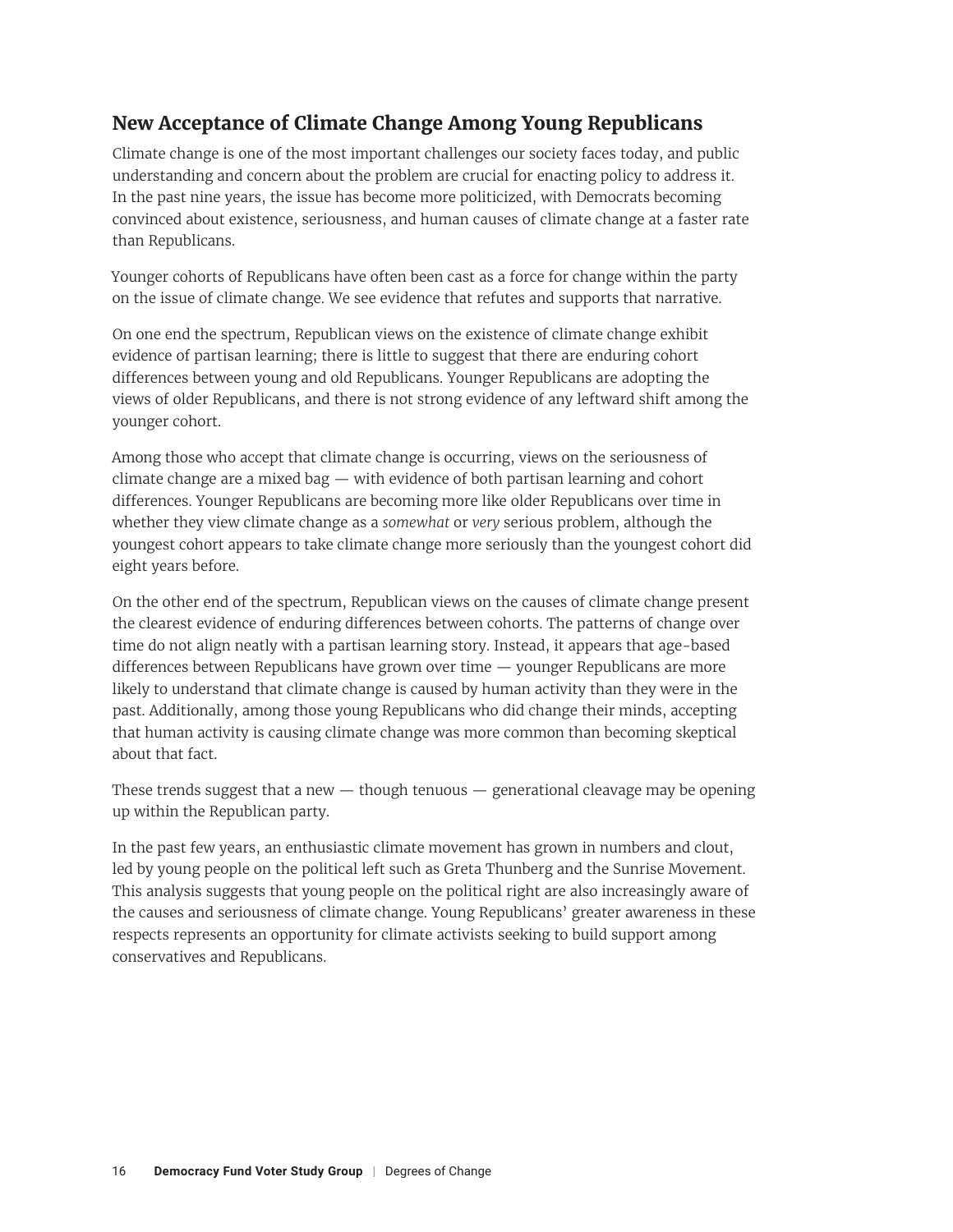# **New Acceptance of Climate Change Among Young Republicans**

Climate change is one of the most important challenges our society faces today, and public understanding and concern about the problem are crucial for enacting policy to address it. In the past nine years, the issue has become more politicized, with Democrats becoming convinced about existence, seriousness, and human causes of climate change at a faster rate than Republicans.

Younger cohorts of Republicans have often been cast as a force for change within the party on the issue of climate change. We see evidence that refutes and supports that narrative.

On one end the spectrum, Republican views on the existence of climate change exhibit evidence of partisan learning; there is little to suggest that there are enduring cohort differences between young and old Republicans. Younger Republicans are adopting the views of older Republicans, and there is not strong evidence of any leftward shift among the younger cohort.

Among those who accept that climate change is occurring, views on the seriousness of climate change are a mixed bag — with evidence of both partisan learning and cohort differences. Younger Republicans are becoming more like older Republicans over time in whether they view climate change as a *somewhat* or *very* serious problem, although the youngest cohort appears to take climate change more seriously than the youngest cohort did eight years before.

On the other end of the spectrum, Republican views on the causes of climate change present the clearest evidence of enduring differences between cohorts. The patterns of change over time do not align neatly with a partisan learning story. Instead, it appears that age-based differences between Republicans have grown over time — younger Republicans are more likely to understand that climate change is caused by human activity than they were in the past. Additionally, among those young Republicans who did change their minds, accepting that human activity is causing climate change was more common than becoming skeptical about that fact.

These trends suggest that a new  $-$  though tenuous  $-$  generational cleavage may be opening up within the Republican party.

In the past few years, an enthusiastic climate movement has grown in numbers and clout, led by young people on the political left such as Greta Thunberg and the Sunrise Movement. This analysis suggests that young people on the political right are also increasingly aware of the causes and seriousness of climate change. Young Republicans' greater awareness in these respects represents an opportunity for climate activists seeking to build support among conservatives and Republicans.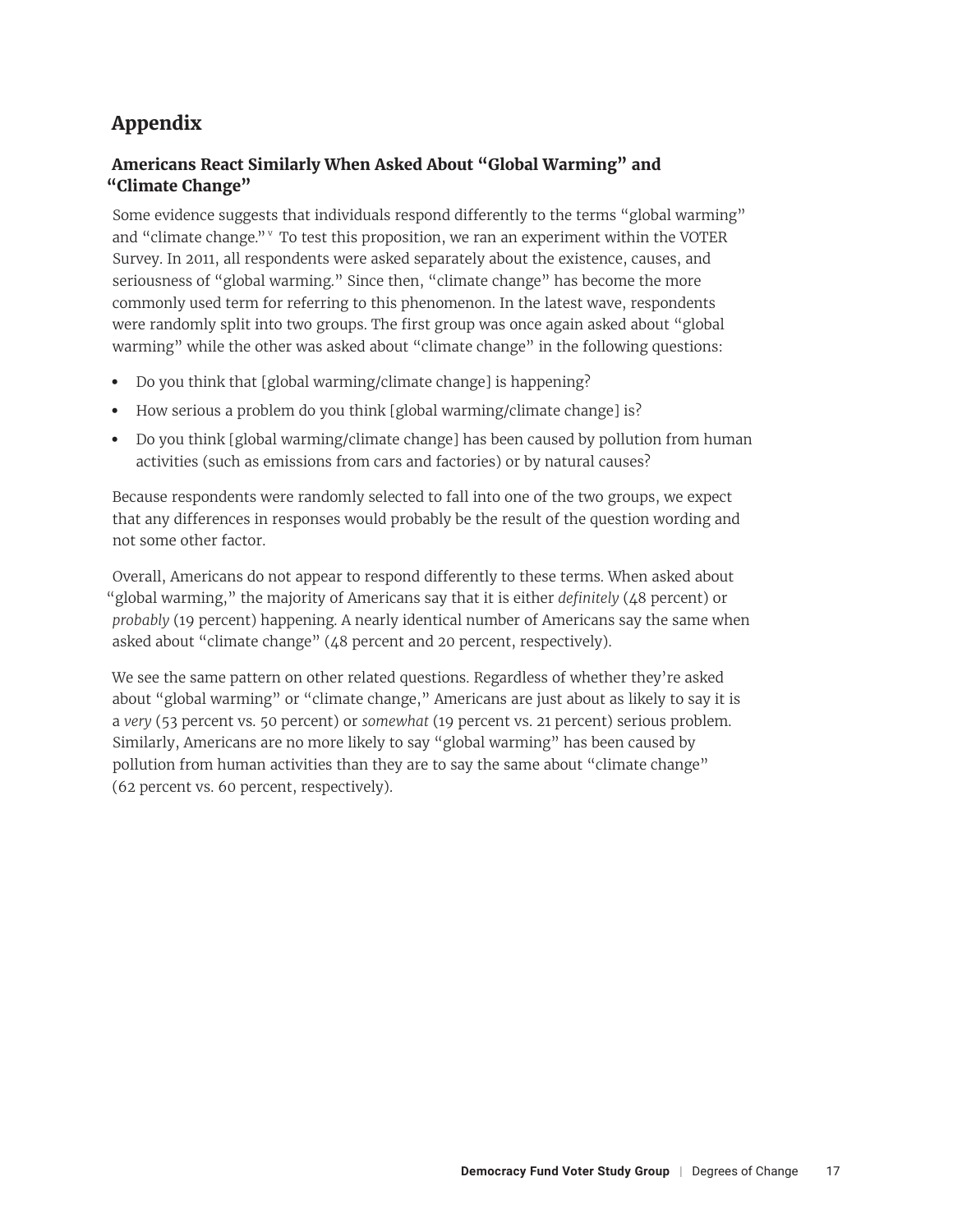# <span id="page-16-0"></span>**Appendix**

### **Americans React Similarly When Asked About "Global Warming" and "Climate Change"**

Some evidence suggests that individuals respond differently to the terms "global warming" and "climate change." $\mathbb{V}$  To test this proposition, we ran an experiment within the VOTER Survey. In 2011, all respondents were asked separately about the existence, causes, and seriousness of "global warming." Since then, "climate change" has become the more commonly used term for referring to this phenomenon. In the latest wave, respondents were randomly split into two groups. The first group was once again asked about "global warming" while the other was asked about "climate change" in the following questions:

- **•** Do you think that [global warming/climate change] is happening?
- **•** How serious a problem do you think [global warming/climate change] is?
- **•** Do you think [global warming/climate change] has been caused by pollution from human activities (such as emissions from cars and factories) or by natural causes?

Because respondents were randomly selected to fall into one of the two groups, we expect that any differences in responses would probably be the result of the question wording and not some other factor.

Overall, Americans do not appear to respond differently to these terms. When asked about "global warming," the majority of Americans say that it is either *definitely* (48 percent) or *probably* (19 percent) happening. A nearly identical number of Americans say the same when asked about "climate change" (48 percent and 20 percent, respectively).

We see the same pattern on other related questions. Regardless of whether they're asked about "global warming" or "climate change," Americans are just about as likely to say it is a *very* (53 percent vs. 50 percent) or *somewhat* (19 percent vs. 21 percent) serious problem. Similarly, Americans are no more likely to say "global warming" has been caused by pollution from human activities than they are to say the same about "climate change" (62 percent vs. 60 percent, respectively).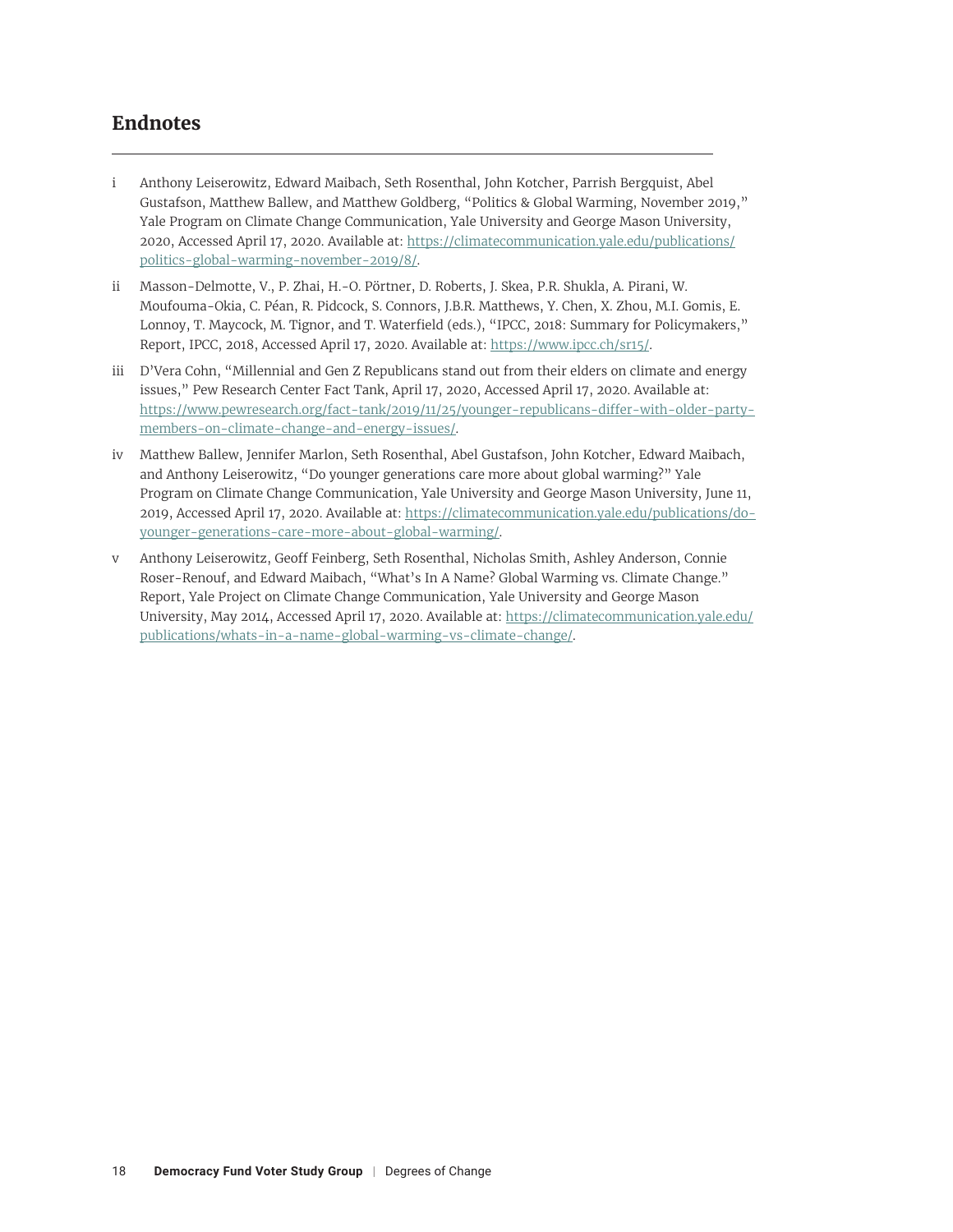# <span id="page-17-0"></span>**Endnotes**

- [i](#page-2-0) Anthony Leiserowitz, Edward Maibach, Seth Rosenthal, John Kotcher, Parrish Bergquist, Abel Gustafson, Matthew Ballew, and Matthew Goldberg, "Politics & Global Warming, November 2019," Yale Program on Climate Change Communication, Yale University and George Mason University, 2020, Accessed April 17, 2020. Available at: [https://climatecommunication.yale.edu/publications/](https://climatecommunication.yale.edu/publications/politics-global-warming-november-2019/8/) [politics-global-warming-november-2019/8/](https://climatecommunication.yale.edu/publications/politics-global-warming-november-2019/8/).
- [ii](#page-3-0) Masson-Delmotte, V., P. Zhai, H.-O. Pörtner, D. Roberts, J. Skea, P.R. Shukla, A. Pirani, W. Moufouma-Okia, C. Péan, R. Pidcock, S. Connors, J.B.R. Matthews, Y. Chen, X. Zhou, M.I. Gomis, E. Lonnoy, T. Maycock, M. Tignor, and T. Waterfield (eds.), "IPCC, 2018: Summary for Policymakers," Report, IPCC, 2018, Accessed April 17, 2020. Available at: <https://www.ipcc.ch/sr15/>.
- [iii](#page-11-0) D'Vera Cohn, "Millennial and Gen Z Republicans stand out from their elders on climate and energy issues," Pew Research Center Fact Tank, April 17, 2020, Accessed April 17, 2020. Available at: [https://www.pewresearch.org/fact-tank/2019/11/25/younger-republicans-differ-with-older-party](https://www.pewresearch.org/fact-tank/2019/11/25/younger-republicans-differ-with-older-party-members-on-climate-change-and-energy-issues/)[members-on-climate-change-and-energy-issues/](https://www.pewresearch.org/fact-tank/2019/11/25/younger-republicans-differ-with-older-party-members-on-climate-change-and-energy-issues/).
- [iv](#page-11-0) Matthew Ballew, Jennifer Marlon, Seth Rosenthal, Abel Gustafson, John Kotcher, Edward Maibach, and Anthony Leiserowitz, "Do younger generations care more about global warming?" Yale Program on Climate Change Communication, Yale University and George Mason University, June 11, 2019, Accessed April 17, 2020. Available at: [https://climatecommunication.yale.edu/publications/do](https://climatecommunication.yale.edu/publications/do-younger-generations-care-more-about-global-warming/)[younger-generations-care-more-about-global-warming/](https://climatecommunication.yale.edu/publications/do-younger-generations-care-more-about-global-warming/).
- [v](#page-16-0) Anthony Leiserowitz, Geoff Feinberg, Seth Rosenthal, Nicholas Smith, Ashley Anderson, Connie Roser-Renouf, and Edward Maibach, "What's In A Name? Global Warming vs. Climate Change." Report, Yale Project on Climate Change Communication, Yale University and George Mason University, May 2014, Accessed April 17, 2020. Available at: [https://climatecommunication.yale.edu/](https://climatecommunication.yale.edu/publications/whats-in-a-name-global-warming-vs-climate-change/) [publications/whats-in-a-name-global-warming-vs-climate-change/](https://climatecommunication.yale.edu/publications/whats-in-a-name-global-warming-vs-climate-change/).